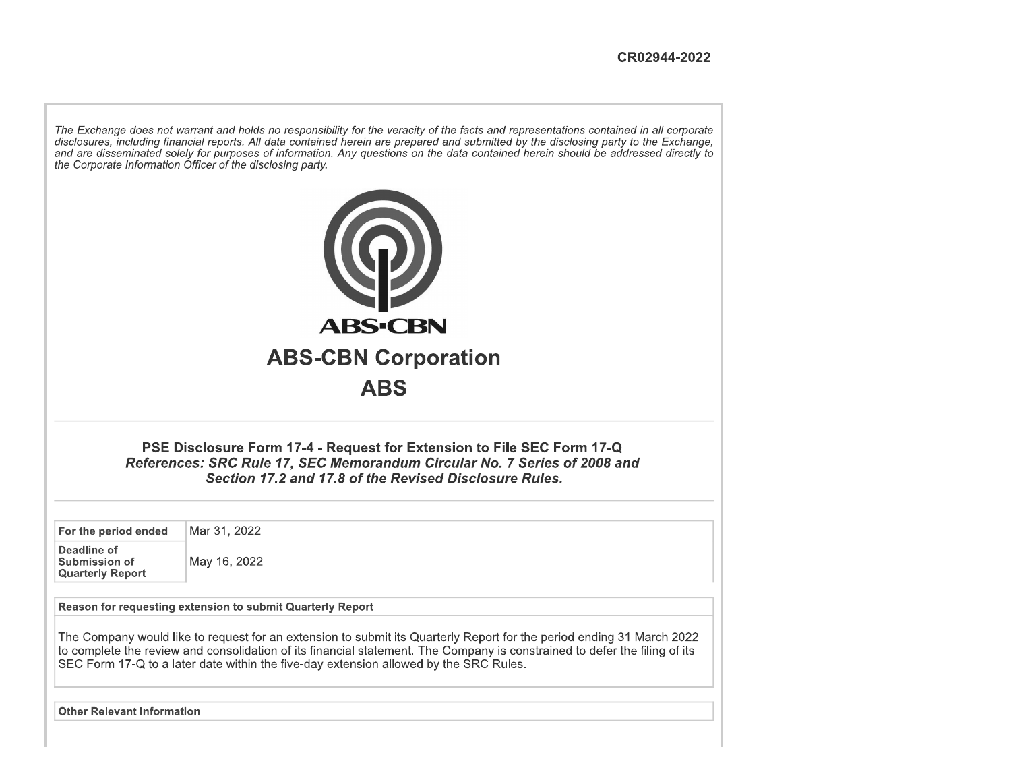The Exchange does not warrant and holds no responsibility for the veracity of the facts and representations contained in all corporate disclosures, including financial reports. All data contained herein are prepared and submitted by the disclosing party to the Exchange, and are disseminated solely for purposes of information. Any questions on the data contained herein should be addressed directly to the Corporate Information Officer of the disclosing party.



**ABS** 

PSE Disclosure Form 17-4 - Request for Extension to File SEC Form 17-Q References: SRC Rule 17, SEC Memorandum Circular No. 7 Series of 2008 and Section 17.2 and 17.8 of the Revised Disclosure Rules.

For the period ended Mar 31, 2022 Deadline of Submission of

May 16, 2022

Reason for requesting extension to submit Quarterly Report

The Company would like to request for an extension to submit its Quarterly Report for the period ending 31 March 2022 to complete the review and consolidation of its financial statement. The Company is constrained to defer the filing of its SEC Form 17-Q to a later date within the five-day extension allowed by the SRC Rules.

**Other Relevant Information** 

**Quarterly Report**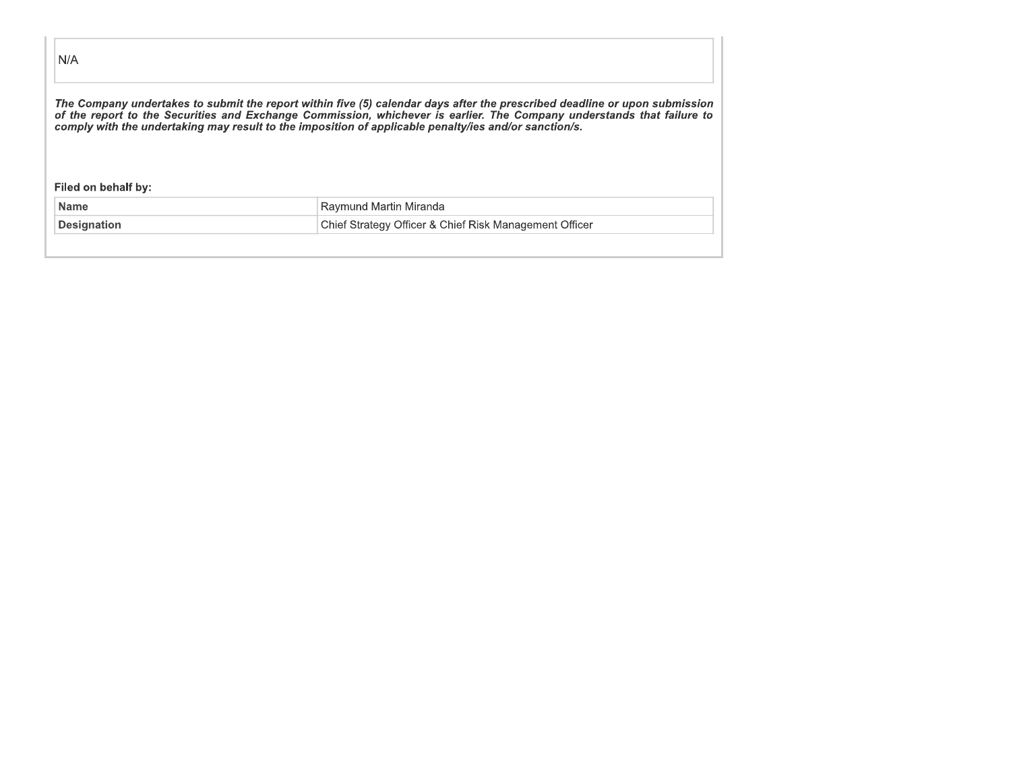| N/A                 |                                                                                                                                                                                                                                                                                                                                                               |
|---------------------|---------------------------------------------------------------------------------------------------------------------------------------------------------------------------------------------------------------------------------------------------------------------------------------------------------------------------------------------------------------|
|                     | The Company undertakes to submit the report within five (5) calendar days after the prescribed deadline or upon submissior<br>of the report to the Securities and Exchange Commission, whichever is earlier. The Company understands that failure to<br>comply with the undertaking may result to the imposition of applicable penalty/ies and/or sanction/s. |
|                     |                                                                                                                                                                                                                                                                                                                                                               |
| Filed on behalf by: |                                                                                                                                                                                                                                                                                                                                                               |
| <b>Name</b>         | Raymund Martin Miranda                                                                                                                                                                                                                                                                                                                                        |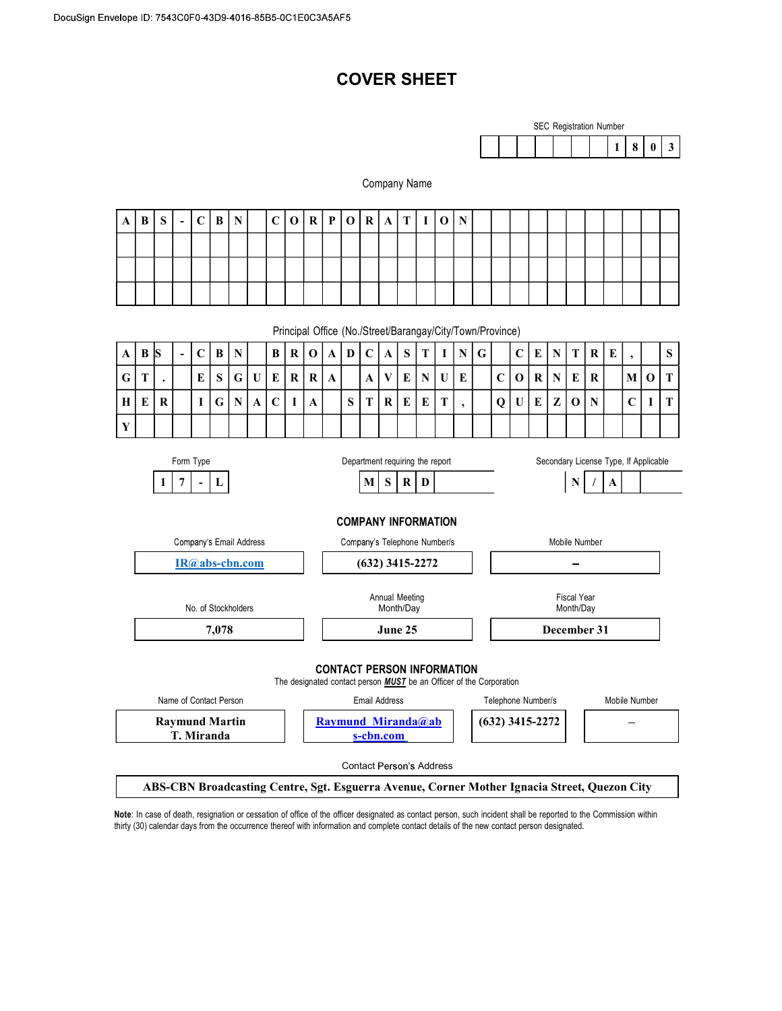# COVER SHEET



#### Company Name

Principal Office (No./Street/Barangay/City/Town/Province)

|   | $A \,   \, B \,   \, S$                                                               |  | $\sim$ |   | $C \mid B \mid$ | $\mathbf N$ |           |            |  |  | B   R   O   A   D   C   A |   |   |              | $\vert$ S $\vert$ | $\mathbf{T}$ |    |            | $I \mid N \mid G \mid$ |             |   |   | C E N T   | $\mathbf{R}$ | E |                 | <sub>S</sub> |
|---|---------------------------------------------------------------------------------------|--|--------|---|-----------------|-------------|-----------|------------|--|--|---------------------------|---|---|--------------|-------------------|--------------|----|------------|------------------------|-------------|---|---|-----------|--------------|---|-----------------|--------------|
|   | $G$ $T$                                                                               |  |        | E | $\mathbf{C}$    |             | G U E R R |            |  |  | $\mathbf{A}$              |   | A | $\mathbf{v}$ | E                 | N            |    | $U \mid E$ |                        | $\mathbf C$ |   |   | O R N E R |              |   |                 | M O T        |
|   | $H$ $E$ $R$                                                                           |  |        |   |                 | G N         |           | $\sqrt{ }$ |  |  |                           | S | m | R            | E                 | E            | m. |            |                        | Q           | U | E | Z 0 N     |              |   | $\sqrt{ }$<br>◡ | I I T<br>л.  |
| Y |                                                                                       |  |        |   |                 |             |           |            |  |  |                           |   |   |              |                   |              |    |            |                        |             |   |   |           |              |   |                 |              |
|   | Secondary License Type, If Applicable<br>Form Type<br>Department requiring the report |  |        |   |                 |             |           |            |  |  |                           |   |   |              |                   |              |    |            |                        |             |   |   |           |              |   |                 |              |



ABS-CBN Broadcasting Centre, Sgt. Esguerra Avenue, Corner Mother Ignacia Street, Quezon City

Note: In case of death, resignation or cessation of office of the officer designated as contact person, such incident shall be reported to the Commission within thirty (30) calendar days from the occurrence thereof with information and complete contact details of the new contact person designated.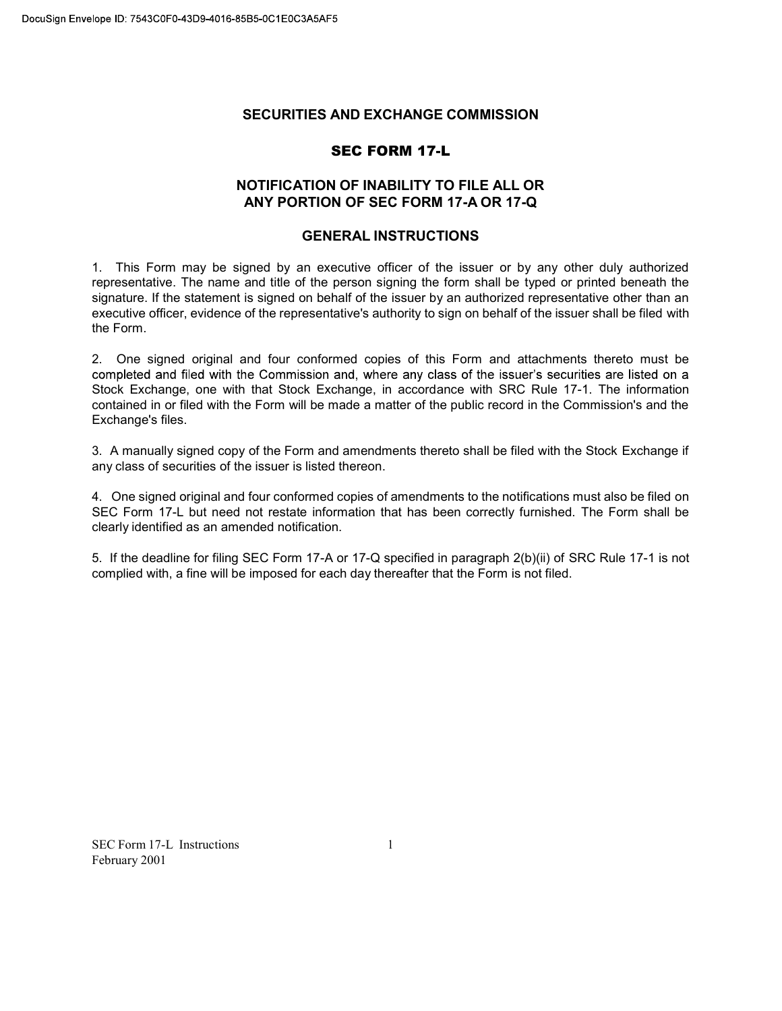### SECURITIES AND EXCHANGE COMMISSION

### SEC FORM 17-L

### NOTIFICATION OF INABILITY TO FILE ALL OR ANY PORTION OF SEC FORM 17-A OR 17-Q

### GENERAL INSTRUCTIONS

1. This Form may be signed by an executive officer of the issuer or by any other duly authorized representative. The name and title of the person signing the form shall be typed or printed beneath the signature. If the statement is signed on behalf of the issuer by an authorized representative other than an executive officer, evidence of the representative's authority to sign on behalf of the issuer shall be filed with the Form.

2. One signed original and four conformed copies of this Form and attachments thereto must be completed and filed with the Commission and, where any class of the issuer's securities are listed on a Stock Exchange, one with that Stock Exchange, in accordance with SRC Rule 17-1. The information contained in or filed with the Form will be made a matter of the public record in the Commission's and the Exchange's files.

3. A manually signed copy of the Form and amendments thereto shall be filed with the Stock Exchange if any class of securities of the issuer is listed thereon.

4. One signed original and four conformed copies of amendments to the notifications must also be filed on SEC Form 17-L but need not restate information that has been correctly furnished. The Form shall be clearly identified as an amended notification.

5. If the deadline for filing SEC Form 17-A or 17-Q specified in paragraph 2(b)(ii) of SRC Rule 17-1 is not complied with, a fine will be imposed for each day thereafter that the Form is not filed.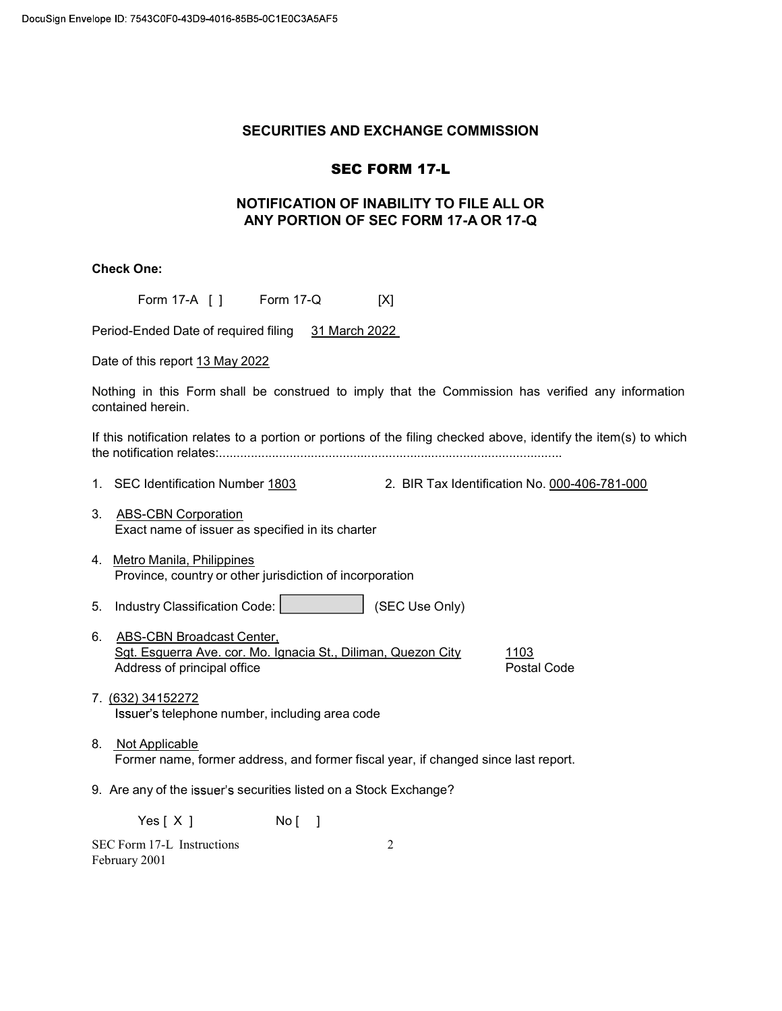### SECURITIES AND EXCHANGE COMMISSION

# SEC FORM 17-L

# NOTIFICATION OF INABILITY TO FILE ALL OR ANY PORTION OF SEC FORM 17-A OR 17-Q

## Check One:

| Form 17-A [ ] Form 17-Q<br>[X]                                                                                                                                |
|---------------------------------------------------------------------------------------------------------------------------------------------------------------|
| Period-Ended Date of required filing 31 March 2022                                                                                                            |
| Date of this report 13 May 2022                                                                                                                               |
| Nothing in this Form shall be construed to imply that the Commission has verified any information<br>contained herein.                                        |
| If this notification relates to a portion or portions of the filing checked above, identify the item(s) to which                                              |
| 1. SEC Identification Number 1803<br>2. BIR Tax Identification No. 000-406-781-000                                                                            |
| 3.<br><b>ABS-CBN Corporation</b><br>Exact name of issuer as specified in its charter                                                                          |
| 4. Metro Manila, Philippines<br>Province, country or other jurisdiction of incorporation                                                                      |
| Industry Classification Code:  <br>(SEC Use Only)<br>5.                                                                                                       |
| 6.<br><b>ABS-CBN Broadcast Center,</b><br>Sgt. Esquerra Ave. cor. Mo. Ignacia St., Diliman, Quezon City<br>1103<br>Address of principal office<br>Postal Code |
| 7. (632) 34152272<br>Issuer's telephone number, including area code                                                                                           |
| 8. Not Applicable<br>Former name, former address, and former fiscal year, if changed since last report.                                                       |
| 9. Are any of the issuer's securities listed on a Stock Exchange?                                                                                             |

Yes [ X ] No [ ]

SEC Form 17-L Instructions February 2001

2 a set of  $\sim$  2 a set of  $\sim$  2 a set of  $\sim$  2 a set of  $\sim$  3 a set of  $\sim$  3 a set of  $\sim$  3 a set of  $\sim$  3 a set of  $\sim$  3 a set of  $\sim$  3 a set of  $\sim$  3 a set of  $\sim$  3 a set of  $\sim$  3 a set of  $\sim$  3 a set of  $\sim$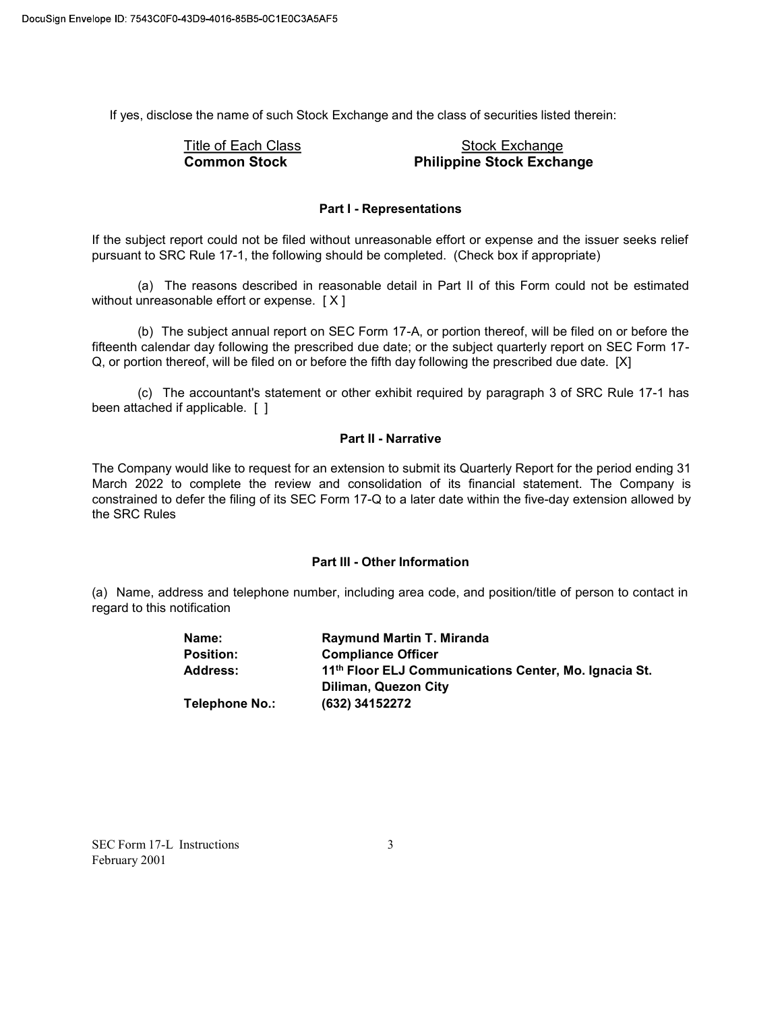If yes, disclose the name of such Stock Exchange and the class of securities listed therein:

# Title of Each Class **Stock Exchange** Common Stock Philippine Stock Exchange

#### Part I - Representations

If the subject report could not be filed without unreasonable effort or expense and the issuer seeks relief pursuant to SRC Rule 17-1, the following should be completed. (Check box if appropriate)

(a) The reasons described in reasonable detail in Part II of this Form could not be estimated without unreasonable effort or expense. [ X ]

(b) The subject annual report on SEC Form 17-A, or portion thereof, will be filed on or before the fifteenth calendar day following the prescribed due date; or the subject quarterly report on SEC Form 17- Q, or portion thereof, will be filed on or before the fifth day following the prescribed due date. [X]

(c) The accountant's statement or other exhibit required by paragraph 3 of SRC Rule 17-1 has been attached if applicable. [ ]

#### Part II - Narrative

The Company would like to request for an extension to submit its Quarterly Report for the period ending 31 March 2022 to complete the review and consolidation of its financial statement. The Company is constrained to defer the filing of its SEC Form 17-Q to a later date within the five-day extension allowed by the SRC Rules

#### Part III - Other Information

(a) Name, address and telephone number, including area code, and position/title of person to contact in regard to this notification

| Name:            | <b>Raymund Martin T. Miranda</b>                                                          |
|------------------|-------------------------------------------------------------------------------------------|
| <b>Position:</b> | <b>Compliance Officer</b>                                                                 |
| Address:         | 11 <sup>th</sup> Floor ELJ Communications Center, Mo. Ignacia St.<br>Diliman, Quezon City |
| Telephone No.:   | (632) 34152272                                                                            |